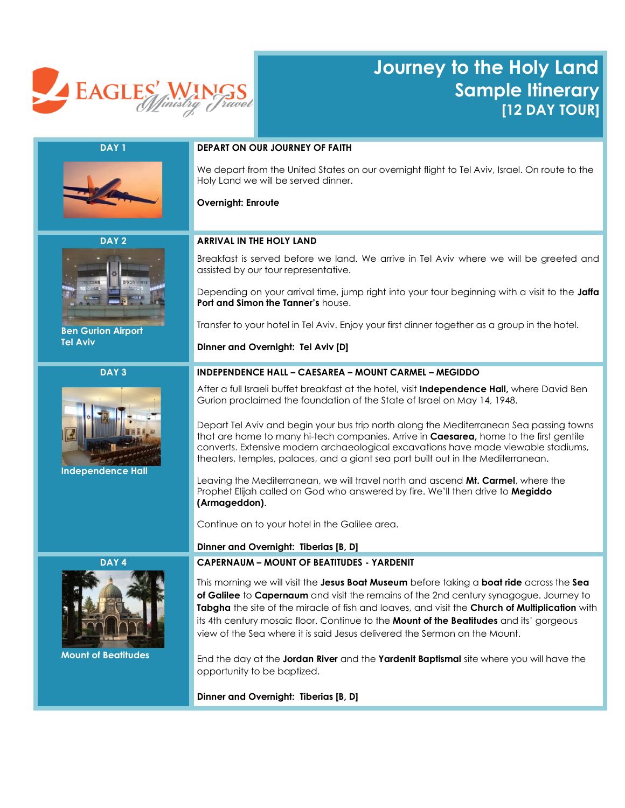

# **Journey to the Holy Land Sample Itinerary [12 DAY TOUR]**



# **DAY 1 DEPART ON OUR JOURNEY OF FAITH**

We depart from the United States on our overnight flight to Tel Aviv, Israel. On route to the Holy Land we will be served dinner.

## **Overnight: Enroute**

**DAY 2**



 **Ben Gurion Airport Tel Aviv**

## **DAY 3**



 **Independence Hall**

**DAY 4**



 **Mount of Beatitudes**

# **ARRIVAL IN THE HOLY LAND**

Breakfast is served before we land. We arrive in Tel Aviv where we will be greeted and assisted by our tour representative.

Depending on your arrival time, jump right into your tour beginning with a visit to the **Jaffa Port and Simon the Tanner's** house.

Transfer to your hotel in Tel Aviv. Enjoy your first dinner together as a group in the hotel.

**Dinner and Overnight: Tel Aviv [D]**

## **INDEPENDENCE HALL – CAESAREA – MOUNT CARMEL – MEGIDDO**

After a full Israeli buffet breakfast at the hotel, visit **Independence Hall,** where David Ben Gurion proclaimed the foundation of the State of Israel on May 14, 1948.

Depart Tel Aviv and begin your bus trip north along the Mediterranean Sea passing towns that are home to many hi-tech companies. Arrive in **Caesarea,** home to the first gentile converts. Extensive modern archaeological excavations have made viewable stadiums, theaters, temples, palaces, and a giant sea port built out in the Mediterranean.

Leaving the Mediterranean, we will travel north and ascend **Mt. Carmel**, where the Prophet Elijah called on God who answered by fire. We'll then drive to **Megiddo (Armageddon)**.

Continue on to your hotel in the Galilee area.

#### **Dinner and Overnight: Tiberias [B, D]**

## **CAPERNAUM – MOUNT OF BEATITUDES - YARDENIT**

This morning we will visit the **Jesus Boat Museum** before taking a **boat ride** across the **Sea of Galilee** to **Capernaum** and visit the remains of the 2nd century synagogue. Journey to **Tabgha** the site of the miracle of fish and loaves, and visit the **Church of Multiplication** with its 4th century mosaic floor. Continue to the **Mount of the Beatitudes** and its' gorgeous view of the Sea where it is said Jesus delivered the Sermon on the Mount.

End the day at the **Jordan River** and the **Yardenit Baptismal** site where you will have the opportunity to be baptized.

**Dinner and Overnight: Tiberias [B, D]**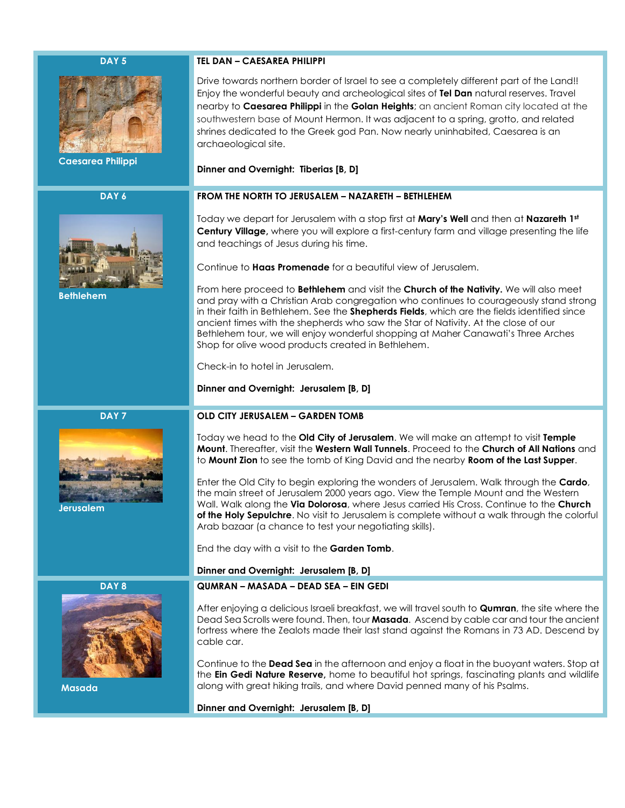#### **DAY 5**



 **Caesarea Philippi**

**DAY 6**



 **Bethlehem**

#### **TEL DAN – CAESAREA PHILIPPI**

Drive towards northern border of Israel to see a completely different part of the Land!! Enjoy the wonderful beauty and archeological sites of **Tel Dan** natural reserves. Travel nearby to **Caesarea Philippi** in the **Golan Heights**; an ancient Roman city located at the southwestern base of [Mount Hermon.](https://en.wikipedia.org/wiki/Mount_Hermon) It was adjacent to a spring, grotto, and related shrines dedicated to the Greek god [Pan.](https://en.wikipedia.org/wiki/Pan_(mythology)) Now nearly uninhabited, Caesarea is an archaeological site.

#### **Dinner and Overnight: Tiberias [B, D]**

#### **FROM THE NORTH TO JERUSALEM – NAZARETH – BETHLEHEM**

Today we depart for Jerusalem with a stop first at **Mary's Well** and then at **Nazareth 1st Century Village,** where you will explore a first-century farm and village presenting the life and teachings of Jesus during his time.

Continue to **Haas Promenade** for a beautiful view of Jerusalem.

From here proceed to **Bethlehem** and visit the **Church of the Nativity.** We will also meet and pray with a Christian Arab congregation who continues to courageously stand strong in their faith in Bethlehem. See the **Shepherds Fields**, which are the fields identified since ancient times with the shepherds who saw the Star of Nativity. At the close of our Bethlehem tour, we will enjoy wonderful shopping at Maher Canawati's Three Arches Shop for olive wood products created in Bethlehem.

Check-in to hotel in Jerusalem.

#### **Dinner and Overnight: Jerusalem [B, D]**

#### **OLD CITY JERUSALEM – GARDEN TOMB**

Today we head to the **Old City of Jerusalem**. We will make an attempt to visit **Temple Mount**. Thereafter, visit the **Western Wall Tunnels**. Proceed to the **Church of All Nations** and to **Mount Zion** to see the tomb of King David and the nearby **Room of the Last Supper**.

Enter the Old City to begin exploring the wonders of Jerusalem. Walk through the **Cardo**, the main street of Jerusalem 2000 years ago. View the Temple Mount and the Western Wall. Walk along the **Via Dolorosa**, where Jesus carried His Cross. Continue to the **Church of the Holy Sepulchre**. No visit to Jerusalem is complete without a walk through the colorful Arab bazaar (a chance to test your negotiating skills).

End the day with a visit to the **Garden Tomb**.

#### **Dinner and Overnight: Jerusalem [B, D]**

#### **QUMRAN – MASADA – DEAD SEA – EIN GEDI**

After enjoying a delicious Israeli breakfast, we will travel south to **Qumran**, the site where the Dead Sea Scrolls were found. Then, tour **Masada**. Ascend by cable car and tour the ancient fortress where the Zealots made their last stand against the Romans in 73 AD. Descend by cable car.

Continue to the **Dead Sea** in the afternoon and enjoy a float in the buoyant waters. Stop at the **Ein Gedi Nature Reserve,** home to beautiful hot springs, fascinating plants and wildlife along with great hiking trails, and where David penned many of his Psalms.

**Dinner and Overnight: Jerusalem [B, D]**

**DAY 8**

 **Masada**